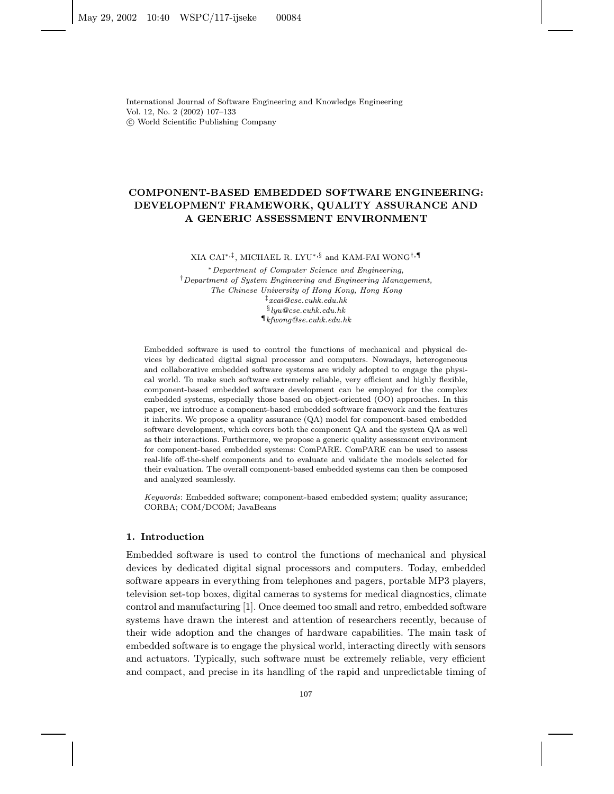# COMPONENT-BASED EMBEDDED SOFTWARE ENGINEERING: DEVELOPMENT FRAMEWORK, QUALITY ASSURANCE AND A GENERIC ASSESSMENT ENVIRONMENT

XIA CAI∗,‡, MICHAEL R. LYU∗,§ and KAM-FAI WONG†,¶

∗Department of Computer Science and Engineering, †Department of System Engineering and Engineering Management, The Chinese University of Hong Kong, Hong Kong ‡xcai@cse.cuhk.edu.hk  $§$ lyu@cse.cuhk.edu.hk ¶kfwong@se.cuhk.edu.hk

Embedded software is used to control the functions of mechanical and physical devices by dedicated digital signal processor and computers. Nowadays, heterogeneous and collaborative embedded software systems are widely adopted to engage the physical world. To make such software extremely reliable, very efficient and highly flexible, component-based embedded software development can be employed for the complex embedded systems, especially those based on object-oriented (OO) approaches. In this paper, we introduce a component-based embedded software framework and the features it inherits. We propose a quality assurance (QA) model for component-based embedded software development, which covers both the component QA and the system QA as well as their interactions. Furthermore, we propose a generic quality assessment environment for component-based embedded systems: ComPARE. ComPARE can be used to assess real-life off-the-shelf components and to evaluate and validate the models selected for their evaluation. The overall component-based embedded systems can then be composed and analyzed seamlessly.

Keywords: Embedded software; component-based embedded system; quality assurance; CORBA; COM/DCOM; JavaBeans

## 1. Introduction

Embedded software is used to control the functions of mechanical and physical devices by dedicated digital signal processors and computers. Today, embedded software appears in everything from telephones and pagers, portable MP3 players, television set-top boxes, digital cameras to systems for medical diagnostics, climate control and manufacturing [1]. Once deemed too small and retro, embedded software systems have drawn the interest and attention of researchers recently, because of their wide adoption and the changes of hardware capabilities. The main task of embedded software is to engage the physical world, interacting directly with sensors and actuators. Typically, such software must be extremely reliable, very efficient and compact, and precise in its handling of the rapid and unpredictable timing of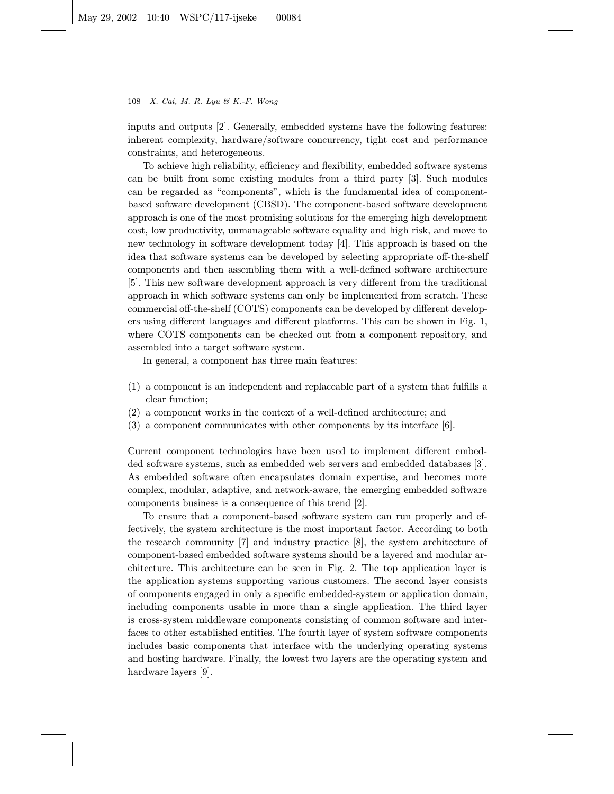inputs and outputs [2]. Generally, embedded systems have the following features: inherent complexity, hardware/software concurrency, tight cost and performance constraints, and heterogeneous.

To achieve high reliability, efficiency and flexibility, embedded software systems can be built from some existing modules from a third party [3]. Such modules can be regarded as "components", which is the fundamental idea of componentbased software development (CBSD). The component-based software development approach is one of the most promising solutions for the emerging high development cost, low productivity, unmanageable software equality and high risk, and move to new technology in software development today [4]. This approach is based on the idea that software systems can be developed by selecting appropriate off-the-shelf components and then assembling them with a well-defined software architecture [5]. This new software development approach is very different from the traditional approach in which software systems can only be implemented from scratch. These commercial off-the-shelf (COTS) components can be developed by different developers using different languages and different platforms. This can be shown in Fig. 1, where COTS components can be checked out from a component repository, and assembled into a target software system.

In general, a component has three main features:

- (1) a component is an independent and replaceable part of a system that fulfills a clear function;
- (2) a component works in the context of a well-defined architecture; and
- (3) a component communicates with other components by its interface [6].

Current component technologies have been used to implement different embedded software systems, such as embedded web servers and embedded databases [3]. As embedded software often encapsulates domain expertise, and becomes more complex, modular, adaptive, and network-aware, the emerging embedded software components business is a consequence of this trend [2].

To ensure that a component-based software system can run properly and effectively, the system architecture is the most important factor. According to both the research community [7] and industry practice [8], the system architecture of component-based embedded software systems should be a layered and modular architecture. This architecture can be seen in Fig. 2. The top application layer is the application systems supporting various customers. The second layer consists of components engaged in only a specific embedded-system or application domain, including components usable in more than a single application. The third layer is cross-system middleware components consisting of common software and interfaces to other established entities. The fourth layer of system software components includes basic components that interface with the underlying operating systems and hosting hardware. Finally, the lowest two layers are the operating system and hardware layers [9].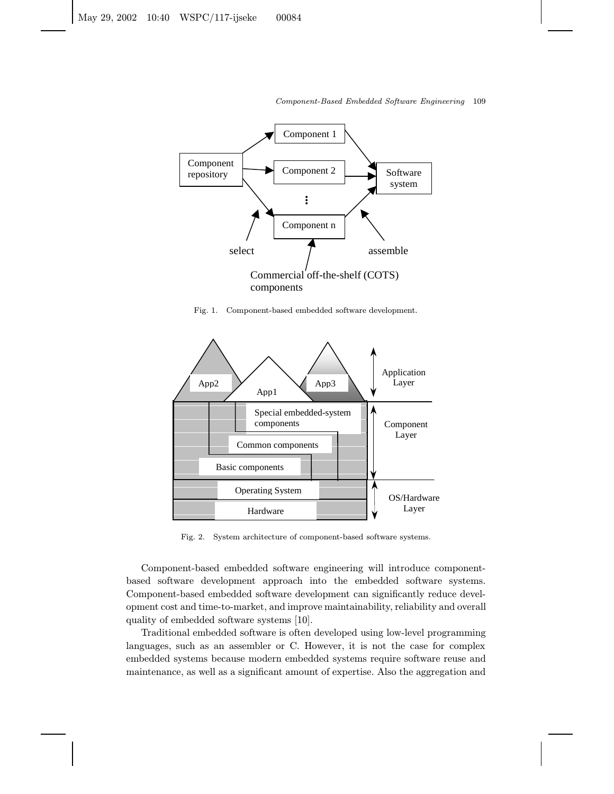

Fig. 1. Component-based embedded software development.



Fig. 2. System architecture of component-based software systems.

Component-based embedded software engineering will introduce componentbased software development approach into the embedded software systems. Component-based embedded software development can significantly reduce development cost and time-to-market, and improve maintainability, reliability and overall quality of embedded software systems [10].

Traditional embedded software is often developed using low-level programming languages, such as an assembler or C. However, it is not the case for complex embedded systems because modern embedded systems require software reuse and maintenance, as well as a significant amount of expertise. Also the aggregation and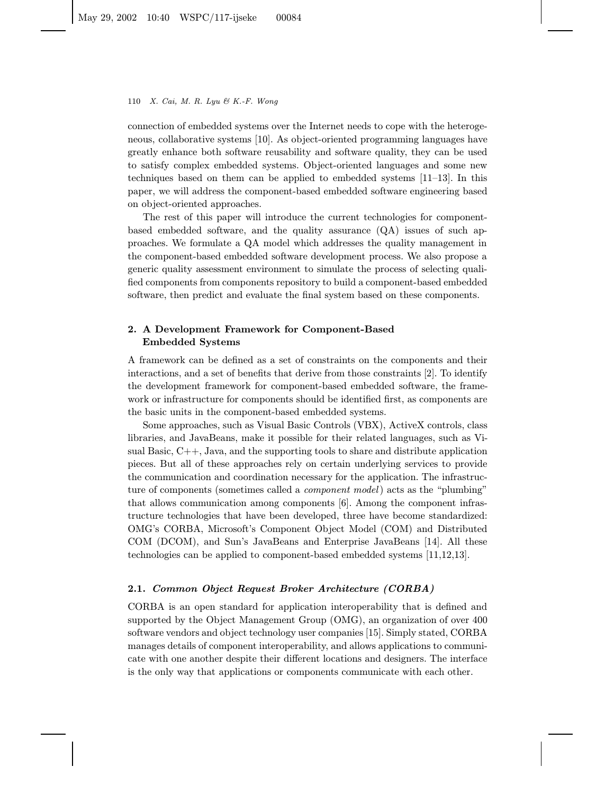connection of embedded systems over the Internet needs to cope with the heterogeneous, collaborative systems [10]. As object-oriented programming languages have greatly enhance both software reusability and software quality, they can be used to satisfy complex embedded systems. Object-oriented languages and some new techniques based on them can be applied to embedded systems [11–13]. In this paper, we will address the component-based embedded software engineering based on object-oriented approaches.

The rest of this paper will introduce the current technologies for componentbased embedded software, and the quality assurance  $(QA)$  issues of such approaches. We formulate a QA model which addresses the quality management in the component-based embedded software development process. We also propose a generic quality assessment environment to simulate the process of selecting qualified components from components repository to build a component-based embedded software, then predict and evaluate the final system based on these components.

# 2. A Development Framework for Component-Based Embedded Systems

A framework can be defined as a set of constraints on the components and their interactions, and a set of benefits that derive from those constraints [2]. To identify the development framework for component-based embedded software, the framework or infrastructure for components should be identified first, as components are the basic units in the component-based embedded systems.

Some approaches, such as Visual Basic Controls (VBX), ActiveX controls, class libraries, and JavaBeans, make it possible for their related languages, such as Visual Basic, C++, Java, and the supporting tools to share and distribute application pieces. But all of these approaches rely on certain underlying services to provide the communication and coordination necessary for the application. The infrastructure of components (sometimes called a *component model*) acts as the "plumbing" that allows communication among components [6]. Among the component infrastructure technologies that have been developed, three have become standardized: OMG's CORBA, Microsoft's Component Object Model (COM) and Distributed COM (DCOM), and Sun's JavaBeans and Enterprise JavaBeans [14]. All these technologies can be applied to component-based embedded systems [11,12,13].

## 2.1. Common Object Request Broker Architecture (CORBA)

CORBA is an open standard for application interoperability that is defined and supported by the Object Management Group (OMG), an organization of over 400 software vendors and object technology user companies [15]. Simply stated, CORBA manages details of component interoperability, and allows applications to communicate with one another despite their different locations and designers. The interface is the only way that applications or components communicate with each other.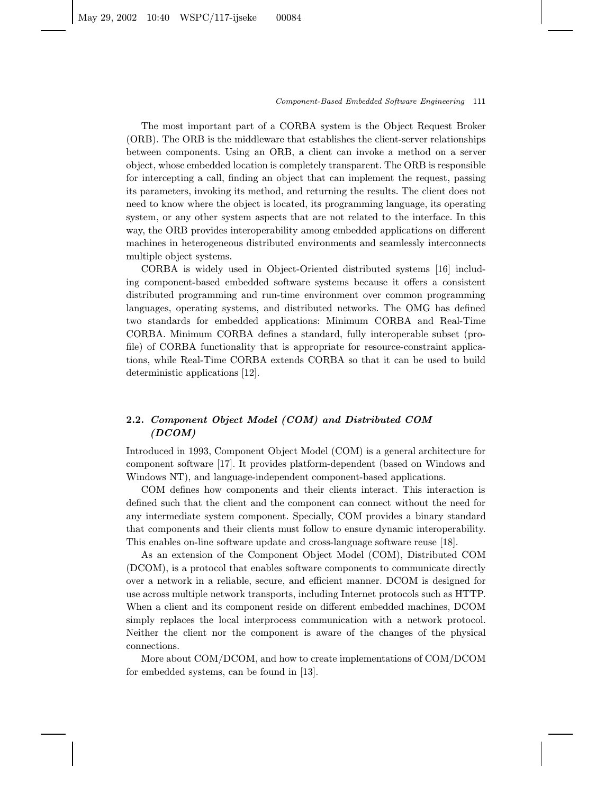The most important part of a CORBA system is the Object Request Broker (ORB). The ORB is the middleware that establishes the client-server relationships between components. Using an ORB, a client can invoke a method on a server object, whose embedded location is completely transparent. The ORB is responsible for intercepting a call, finding an object that can implement the request, passing its parameters, invoking its method, and returning the results. The client does not need to know where the object is located, its programming language, its operating system, or any other system aspects that are not related to the interface. In this way, the ORB provides interoperability among embedded applications on different machines in heterogeneous distributed environments and seamlessly interconnects multiple object systems.

CORBA is widely used in Object-Oriented distributed systems [16] including component-based embedded software systems because it offers a consistent distributed programming and run-time environment over common programming languages, operating systems, and distributed networks. The OMG has defined two standards for embedded applications: Minimum CORBA and Real-Time CORBA. Minimum CORBA defines a standard, fully interoperable subset (profile) of CORBA functionality that is appropriate for resource-constraint applications, while Real-Time CORBA extends CORBA so that it can be used to build deterministic applications [12].

# 2.2. Component Object Model (COM) and Distributed COM (DCOM)

Introduced in 1993, Component Object Model (COM) is a general architecture for component software [17]. It provides platform-dependent (based on Windows and Windows NT), and language-independent component-based applications.

COM defines how components and their clients interact. This interaction is defined such that the client and the component can connect without the need for any intermediate system component. Specially, COM provides a binary standard that components and their clients must follow to ensure dynamic interoperability. This enables on-line software update and cross-language software reuse [18].

As an extension of the Component Object Model (COM), Distributed COM (DCOM), is a protocol that enables software components to communicate directly over a network in a reliable, secure, and efficient manner. DCOM is designed for use across multiple network transports, including Internet protocols such as HTTP. When a client and its component reside on different embedded machines, DCOM simply replaces the local interprocess communication with a network protocol. Neither the client nor the component is aware of the changes of the physical connections.

More about COM/DCOM, and how to create implementations of COM/DCOM for embedded systems, can be found in [13].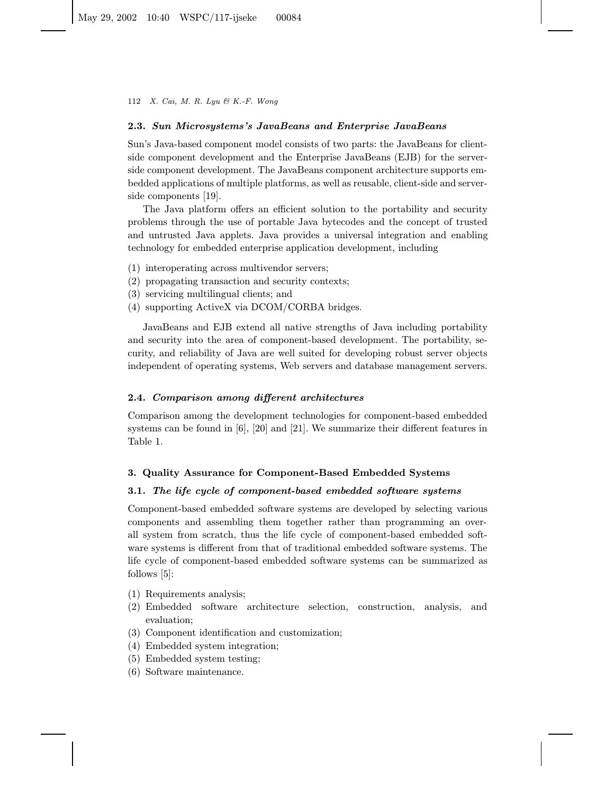## 2.3. Sun Microsystems's JavaBeans and Enterprise JavaBeans

Sun's Java-based component model consists of two parts: the JavaBeans for clientside component development and the Enterprise JavaBeans (EJB) for the serverside component development. The JavaBeans component architecture supports embedded applications of multiple platforms, as well as reusable, client-side and serverside components [19].

The Java platform offers an efficient solution to the portability and security problems through the use of portable Java bytecodes and the concept of trusted and untrusted Java applets. Java provides a universal integration and enabling technology for embedded enterprise application development, including

- (1) interoperating across multivendor servers;
- (2) propagating transaction and security contexts;
- (3) servicing multilingual clients; and
- (4) supporting ActiveX via DCOM/CORBA bridges.

JavaBeans and EJB extend all native strengths of Java including portability and security into the area of component-based development. The portability, security, and reliability of Java are well suited for developing robust server objects independent of operating systems, Web servers and database management servers.

## 2.4. Comparison among different architectures

Comparison among the development technologies for component-based embedded systems can be found in [6], [20] and [21]. We summarize their different features in Table 1.

# 3. Quality Assurance for Component-Based Embedded Systems

## 3.1. The life cycle of component-based embedded software systems

Component-based embedded software systems are developed by selecting various components and assembling them together rather than programming an overall system from scratch, thus the life cycle of component-based embedded software systems is different from that of traditional embedded software systems. The life cycle of component-based embedded software systems can be summarized as follows [5]:

- (1) Requirements analysis;
- (2) Embedded software architecture selection, construction, analysis, and evaluation;
- (3) Component identification and customization;
- (4) Embedded system integration;
- (5) Embedded system testing;
- (6) Software maintenance.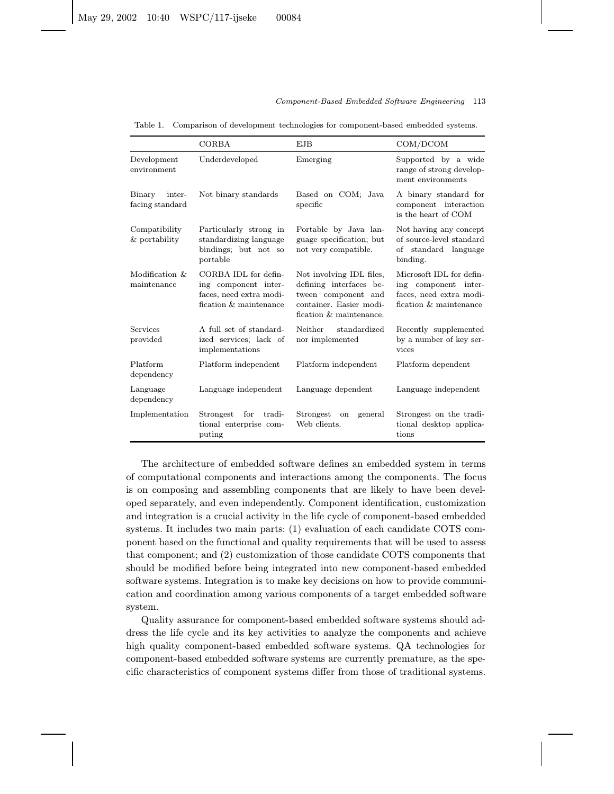|                                     | CORBA                                                                                             | EJ <sub>B</sub>                                                                                                                  | COM/DCOM                                                                                              |
|-------------------------------------|---------------------------------------------------------------------------------------------------|----------------------------------------------------------------------------------------------------------------------------------|-------------------------------------------------------------------------------------------------------|
| Development<br>environment          | Underdeveloped                                                                                    | Emerging                                                                                                                         | Supported by a wide<br>range of strong develop-<br>ment environments                                  |
| inter-<br>Binary<br>facing standard | Not binary standards                                                                              | Based on COM; Java<br>specific                                                                                                   | A binary standard for<br>component interaction<br>is the heart of COM                                 |
| Compatibility<br>& portability      | Particularly strong in<br>standardizing language<br>bindings; but not so<br>portable              | Portable by Java lan-<br>guage specification; but<br>not very compatible.                                                        | Not having any concept<br>of source-level standard<br>of standard language<br>binding.                |
| Modification &<br>maintenance       | CORBA IDL for defin-<br>ing component inter-<br>faces, need extra modi-<br>fication & maintenance | Not involving IDL files,<br>defining interfaces be-<br>tween component and<br>container. Easier modi-<br>fication & maintenance. | Microsoft IDL for defin-<br>ing component inter-<br>faces, need extra modi-<br>fication & maintenance |
| <b>Services</b><br>provided         | A full set of standard-<br>ized services; lack of<br>implementations                              | standardized<br>Neither<br>nor implemented                                                                                       | Recently supplemented<br>by a number of key ser-<br>vices                                             |
| Platform<br>dependency              | Platform independent                                                                              | Platform independent                                                                                                             | Platform dependent                                                                                    |
| Language<br>dependency              | Language independent                                                                              | Language dependent                                                                                                               | Language independent                                                                                  |
| Implementation                      | for<br>Strongest<br>$_{\rm tradi}$ -<br>tional enterprise com-<br>puting                          | Strongest<br>general<br>on<br>Web clients.                                                                                       | Strongest on the tradi-<br>tional desktop applica-<br>tions                                           |

Table 1. Comparison of development technologies for component-based embedded systems.

The architecture of embedded software defines an embedded system in terms of computational components and interactions among the components. The focus is on composing and assembling components that are likely to have been developed separately, and even independently. Component identification, customization and integration is a crucial activity in the life cycle of component-based embedded systems. It includes two main parts: (1) evaluation of each candidate COTS component based on the functional and quality requirements that will be used to assess that component; and (2) customization of those candidate COTS components that should be modified before being integrated into new component-based embedded software systems. Integration is to make key decisions on how to provide communication and coordination among various components of a target embedded software system.

Quality assurance for component-based embedded software systems should address the life cycle and its key activities to analyze the components and achieve high quality component-based embedded software systems. QA technologies for component-based embedded software systems are currently premature, as the specific characteristics of component systems differ from those of traditional systems.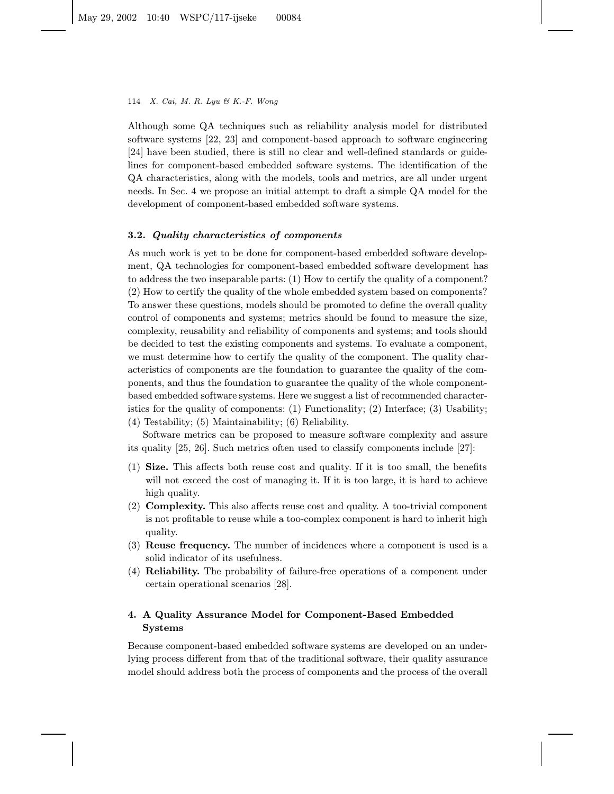Although some QA techniques such as reliability analysis model for distributed software systems [22, 23] and component-based approach to software engineering [24] have been studied, there is still no clear and well-defined standards or guidelines for component-based embedded software systems. The identification of the QA characteristics, along with the models, tools and metrics, are all under urgent needs. In Sec. 4 we propose an initial attempt to draft a simple QA model for the development of component-based embedded software systems.

### 3.2. Quality characteristics of components

As much work is yet to be done for component-based embedded software development, QA technologies for component-based embedded software development has to address the two inseparable parts: (1) How to certify the quality of a component? (2) How to certify the quality of the whole embedded system based on components? To answer these questions, models should be promoted to define the overall quality control of components and systems; metrics should be found to measure the size, complexity, reusability and reliability of components and systems; and tools should be decided to test the existing components and systems. To evaluate a component, we must determine how to certify the quality of the component. The quality characteristics of components are the foundation to guarantee the quality of the components, and thus the foundation to guarantee the quality of the whole componentbased embedded software systems. Here we suggest a list of recommended characteristics for the quality of components: (1) Functionality; (2) Interface; (3) Usability; (4) Testability; (5) Maintainability; (6) Reliability.

Software metrics can be proposed to measure software complexity and assure its quality [25, 26]. Such metrics often used to classify components include [27]:

- (1) Size. This affects both reuse cost and quality. If it is too small, the benefits will not exceed the cost of managing it. If it is too large, it is hard to achieve high quality.
- (2) Complexity. This also affects reuse cost and quality. A too-trivial component is not profitable to reuse while a too-complex component is hard to inherit high quality.
- (3) Reuse frequency. The number of incidences where a component is used is a solid indicator of its usefulness.
- (4) Reliability. The probability of failure-free operations of a component under certain operational scenarios [28].

## 4. A Quality Assurance Model for Component-Based Embedded Systems

Because component-based embedded software systems are developed on an underlying process different from that of the traditional software, their quality assurance model should address both the process of components and the process of the overall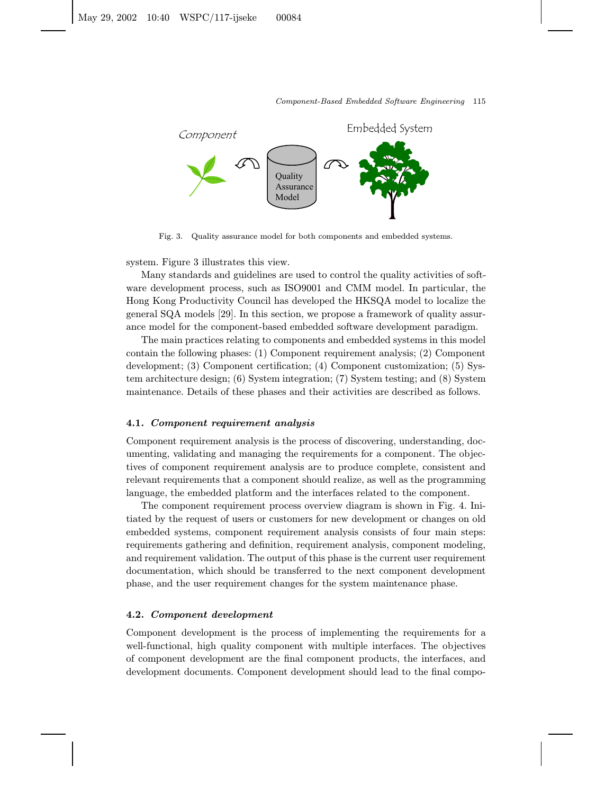

Fig. 3. Quality assurance model for both components and embedded systems.

system. Figure 3 illustrates this view.

Many standards and guidelines are used to control the quality activities of software development process, such as ISO9001 and CMM model. In particular, the Hong Kong Productivity Council has developed the HKSQA model to localize the general SQA models [29]. In this section, we propose a framework of quality assurance model for the component-based embedded software development paradigm.

The main practices relating to components and embedded systems in this model contain the following phases: (1) Component requirement analysis; (2) Component development; (3) Component certification; (4) Component customization; (5) System architecture design; (6) System integration; (7) System testing; and (8) System maintenance. Details of these phases and their activities are described as follows.

### 4.1. Component requirement analysis

Component requirement analysis is the process of discovering, understanding, documenting, validating and managing the requirements for a component. The objectives of component requirement analysis are to produce complete, consistent and relevant requirements that a component should realize, as well as the programming language, the embedded platform and the interfaces related to the component.

The component requirement process overview diagram is shown in Fig. 4. Initiated by the request of users or customers for new development or changes on old embedded systems, component requirement analysis consists of four main steps: requirements gathering and definition, requirement analysis, component modeling, and requirement validation. The output of this phase is the current user requirement documentation, which should be transferred to the next component development phase, and the user requirement changes for the system maintenance phase.

### 4.2. Component development

Component development is the process of implementing the requirements for a well-functional, high quality component with multiple interfaces. The objectives of component development are the final component products, the interfaces, and development documents. Component development should lead to the final compo-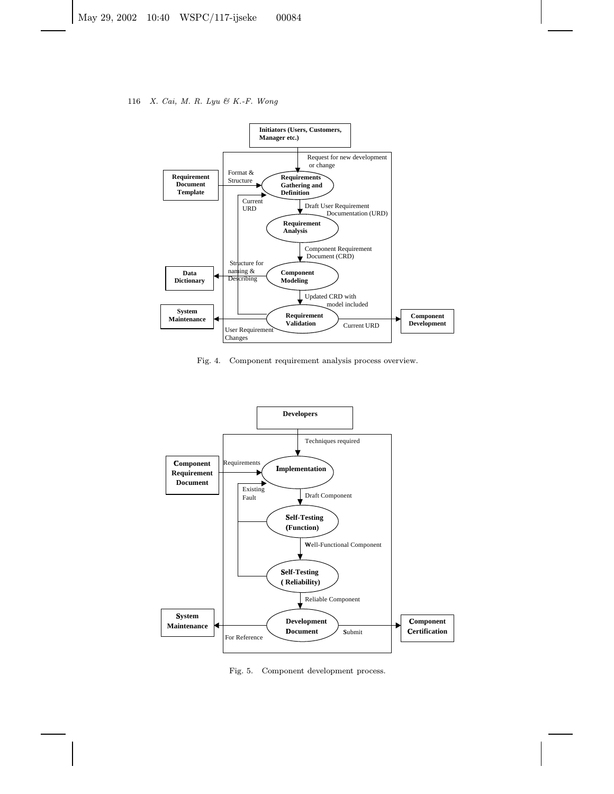

Fig. 4. Component requirement analysis process overview.



Fig. 5. Component development process.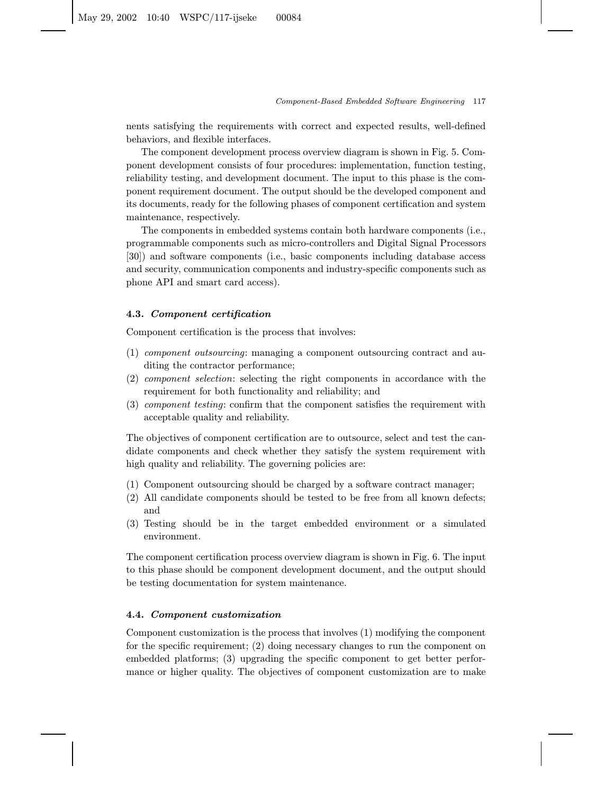nents satisfying the requirements with correct and expected results, well-defined behaviors, and flexible interfaces.

The component development process overview diagram is shown in Fig. 5. Component development consists of four procedures: implementation, function testing, reliability testing, and development document. The input to this phase is the component requirement document. The output should be the developed component and its documents, ready for the following phases of component certification and system maintenance, respectively.

The components in embedded systems contain both hardware components (i.e., programmable components such as micro-controllers and Digital Signal Processors [30]) and software components (i.e., basic components including database access and security, communication components and industry-specific components such as phone API and smart card access).

## 4.3. Component certification

Component certification is the process that involves:

- (1) component outsourcing: managing a component outsourcing contract and auditing the contractor performance;
- (2) component selection: selecting the right components in accordance with the requirement for both functionality and reliability; and
- (3) component testing: confirm that the component satisfies the requirement with acceptable quality and reliability.

The objectives of component certification are to outsource, select and test the candidate components and check whether they satisfy the system requirement with high quality and reliability. The governing policies are:

- (1) Component outsourcing should be charged by a software contract manager;
- (2) All candidate components should be tested to be free from all known defects; and
- (3) Testing should be in the target embedded environment or a simulated environment.

The component certification process overview diagram is shown in Fig. 6. The input to this phase should be component development document, and the output should be testing documentation for system maintenance.

## 4.4. Component customization

Component customization is the process that involves (1) modifying the component for the specific requirement; (2) doing necessary changes to run the component on embedded platforms; (3) upgrading the specific component to get better performance or higher quality. The objectives of component customization are to make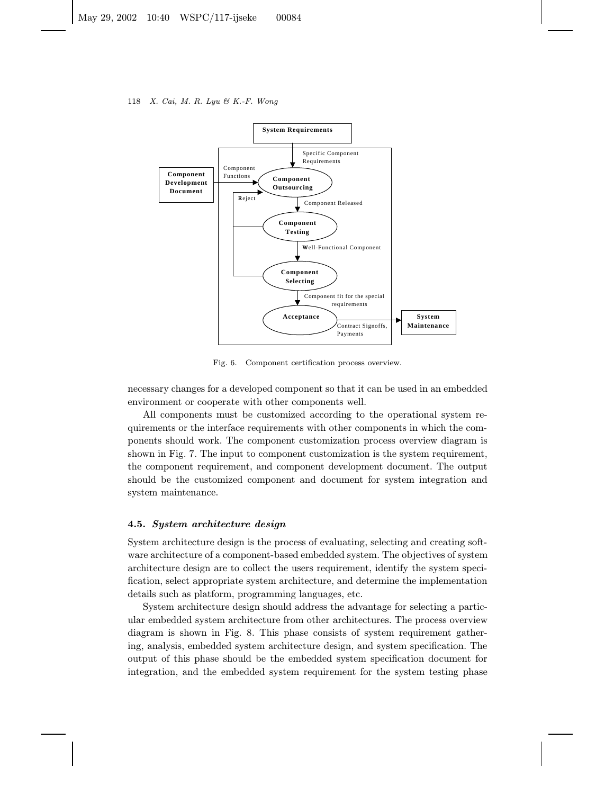

Fig. 6. Component certification process overview.

necessary changes for a developed component so that it can be used in an embedded environment or cooperate with other components well.

All components must be customized according to the operational system requirements or the interface requirements with other components in which the components should work. The component customization process overview diagram is shown in Fig. 7. The input to component customization is the system requirement, the component requirement, and component development document. The output should be the customized component and document for system integration and system maintenance.

### 4.5. System architecture design

System architecture design is the process of evaluating, selecting and creating software architecture of a component-based embedded system. The objectives of system architecture design are to collect the users requirement, identify the system specification, select appropriate system architecture, and determine the implementation details such as platform, programming languages, etc.

System architecture design should address the advantage for selecting a particular embedded system architecture from other architectures. The process overview diagram is shown in Fig. 8. This phase consists of system requirement gathering, analysis, embedded system architecture design, and system specification. The output of this phase should be the embedded system specification document for integration, and the embedded system requirement for the system testing phase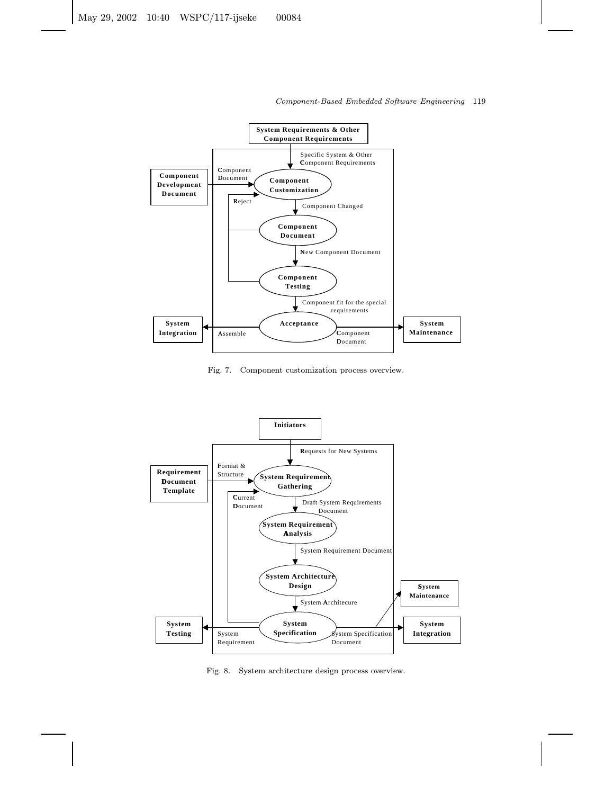

Fig. 7. Component customization process overview.



Fig. 8. System architecture design process overview.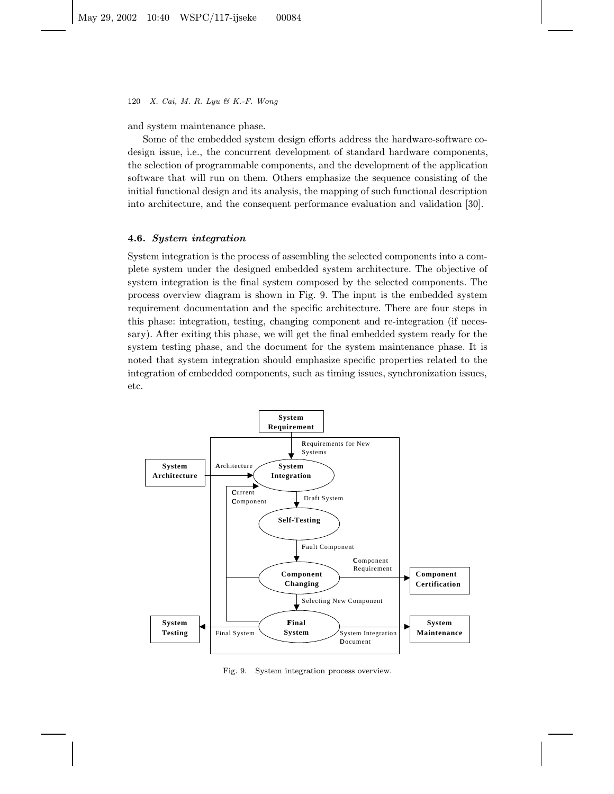and system maintenance phase.

Some of the embedded system design efforts address the hardware-software codesign issue, i.e., the concurrent development of standard hardware components, the selection of programmable components, and the development of the application software that will run on them. Others emphasize the sequence consisting of the initial functional design and its analysis, the mapping of such functional description into architecture, and the consequent performance evaluation and validation [30].

## 4.6. System integration

System integration is the process of assembling the selected components into a complete system under the designed embedded system architecture. The objective of system integration is the final system composed by the selected components. The process overview diagram is shown in Fig. 9. The input is the embedded system requirement documentation and the specific architecture. There are four steps in this phase: integration, testing, changing component and re-integration (if necessary). After exiting this phase, we will get the final embedded system ready for the system testing phase, and the document for the system maintenance phase. It is noted that system integration should emphasize specific properties related to the integration of embedded components, such as timing issues, synchronization issues, etc.



Fig. 9. System integration process overview.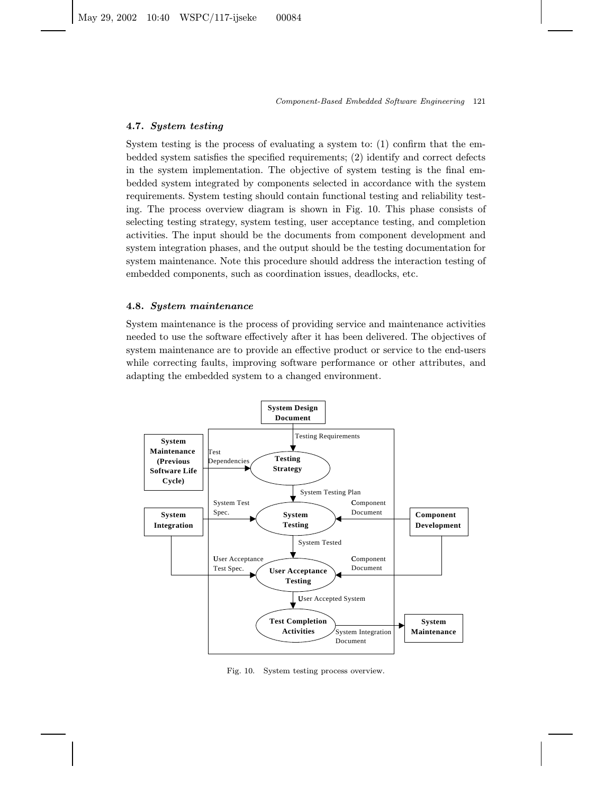## 4.7. System testing

System testing is the process of evaluating a system to: (1) confirm that the embedded system satisfies the specified requirements; (2) identify and correct defects in the system implementation. The objective of system testing is the final embedded system integrated by components selected in accordance with the system requirements. System testing should contain functional testing and reliability testing. The process overview diagram is shown in Fig. 10. This phase consists of selecting testing strategy, system testing, user acceptance testing, and completion activities. The input should be the documents from component development and system integration phases, and the output should be the testing documentation for system maintenance. Note this procedure should address the interaction testing of embedded components, such as coordination issues, deadlocks, etc.

## 4.8. System maintenance

System maintenance is the process of providing service and maintenance activities needed to use the software effectively after it has been delivered. The objectives of system maintenance are to provide an effective product or service to the end-users while correcting faults, improving software performance or other attributes, and adapting the embedded system to a changed environment.



Fig. 10. System testing process overview.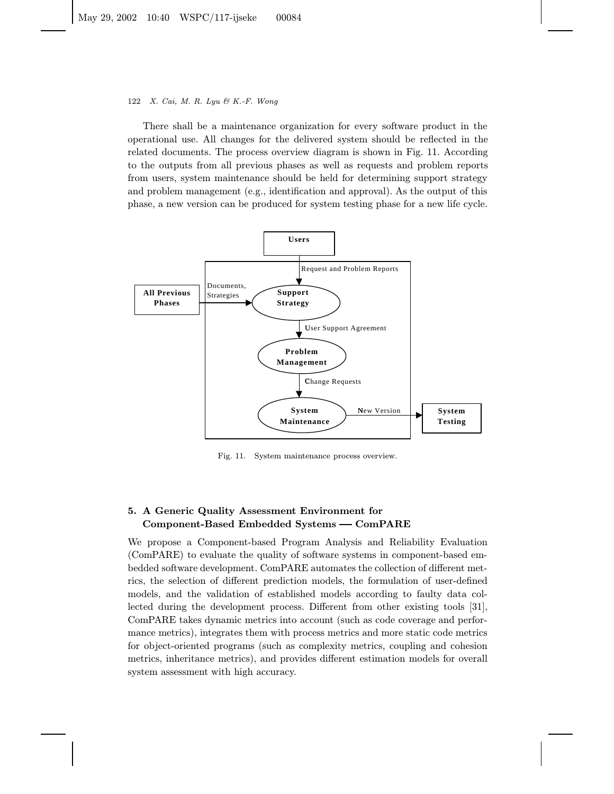There shall be a maintenance organization for every software product in the operational use. All changes for the delivered system should be reflected in the related documents. The process overview diagram is shown in Fig. 11. According to the outputs from all previous phases as well as requests and problem reports from users, system maintenance should be held for determining support strategy and problem management (e.g., identification and approval). As the output of this phase, a new version can be produced for system testing phase for a new life cycle.



Fig. 11. System maintenance process overview.

## 5. A Generic Quality Assessment Environment for Component-Based Embedded Systems - ComPARE

We propose a Component-based Program Analysis and Reliability Evaluation (ComPARE) to evaluate the quality of software systems in component-based embedded software development. ComPARE automates the collection of different metrics, the selection of different prediction models, the formulation of user-defined models, and the validation of established models according to faulty data collected during the development process. Different from other existing tools [31], ComPARE takes dynamic metrics into account (such as code coverage and performance metrics), integrates them with process metrics and more static code metrics for object-oriented programs (such as complexity metrics, coupling and cohesion metrics, inheritance metrics), and provides different estimation models for overall system assessment with high accuracy.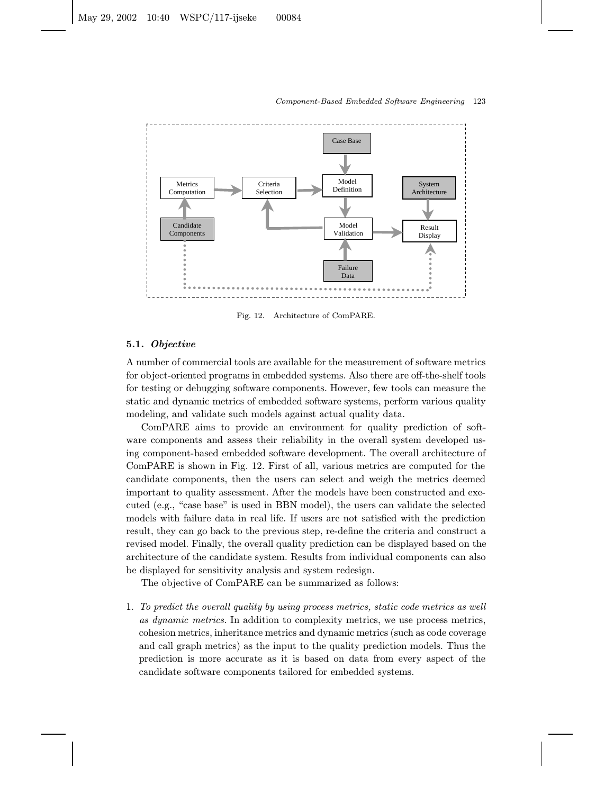

Fig. 12. Architecture of ComPARE.

### 5.1. Objective

A number of commercial tools are available for the measurement of software metrics for object-oriented programs in embedded systems. Also there are off-the-shelf tools for testing or debugging software components. However, few tools can measure the static and dynamic metrics of embedded software systems, perform various quality modeling, and validate such models against actual quality data.

ComPARE aims to provide an environment for quality prediction of software components and assess their reliability in the overall system developed using component-based embedded software development. The overall architecture of ComPARE is shown in Fig. 12. First of all, various metrics are computed for the candidate components, then the users can select and weigh the metrics deemed important to quality assessment. After the models have been constructed and executed (e.g., "case base" is used in BBN model), the users can validate the selected models with failure data in real life. If users are not satisfied with the prediction result, they can go back to the previous step, re-define the criteria and construct a revised model. Finally, the overall quality prediction can be displayed based on the architecture of the candidate system. Results from individual components can also be displayed for sensitivity analysis and system redesign.

The objective of ComPARE can be summarized as follows:

1. To predict the overall quality by using process metrics, static code metrics as well as dynamic metrics. In addition to complexity metrics, we use process metrics, cohesion metrics, inheritance metrics and dynamic metrics (such as code coverage and call graph metrics) as the input to the quality prediction models. Thus the prediction is more accurate as it is based on data from every aspect of the candidate software components tailored for embedded systems.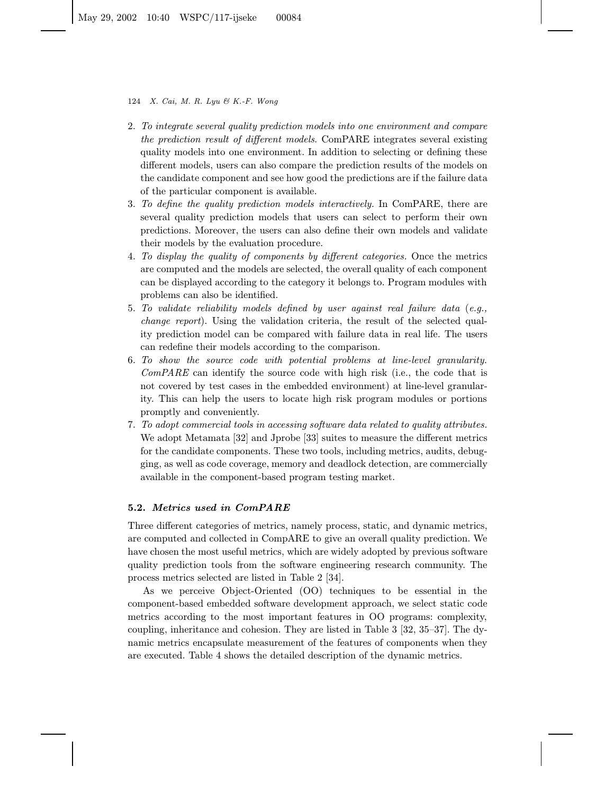- 2. To integrate several quality prediction models into one environment and compare the prediction result of different models. ComPARE integrates several existing quality models into one environment. In addition to selecting or defining these different models, users can also compare the prediction results of the models on the candidate component and see how good the predictions are if the failure data of the particular component is available.
- 3. To define the quality prediction models interactively. In ComPARE, there are several quality prediction models that users can select to perform their own predictions. Moreover, the users can also define their own models and validate their models by the evaluation procedure.
- 4. To display the quality of components by different categories. Once the metrics are computed and the models are selected, the overall quality of each component can be displayed according to the category it belongs to. Program modules with problems can also be identified.
- 5. To validate reliability models defined by user against real failure data (e.g., change report). Using the validation criteria, the result of the selected quality prediction model can be compared with failure data in real life. The users can redefine their models according to the comparison.
- 6. To show the source code with potential problems at line-level granularity.  $ComPARE$  can identify the source code with high risk (i.e., the code that is not covered by test cases in the embedded environment) at line-level granularity. This can help the users to locate high risk program modules or portions promptly and conveniently.
- 7. To adopt commercial tools in accessing software data related to quality attributes. We adopt Metamata [32] and Jprobe [33] suites to measure the different metrics for the candidate components. These two tools, including metrics, audits, debugging, as well as code coverage, memory and deadlock detection, are commercially available in the component-based program testing market.

# 5.2. Metrics used in ComPARE

Three different categories of metrics, namely process, static, and dynamic metrics, are computed and collected in CompARE to give an overall quality prediction. We have chosen the most useful metrics, which are widely adopted by previous software quality prediction tools from the software engineering research community. The process metrics selected are listed in Table 2 [34].

As we perceive Object-Oriented (OO) techniques to be essential in the component-based embedded software development approach, we select static code metrics according to the most important features in OO programs: complexity, coupling, inheritance and cohesion. They are listed in Table 3 [32, 35–37]. The dynamic metrics encapsulate measurement of the features of components when they are executed. Table 4 shows the detailed description of the dynamic metrics.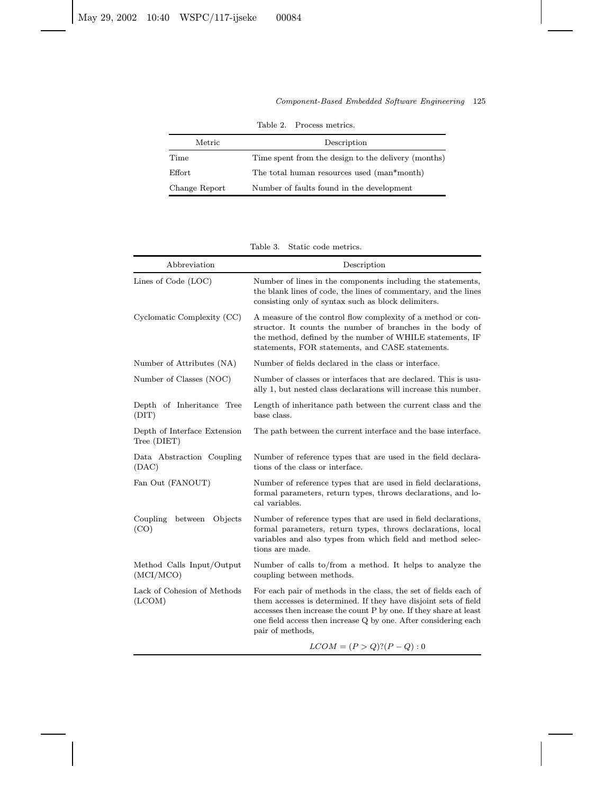| Metric        | Description                                         |  |
|---------------|-----------------------------------------------------|--|
| Time          | Time spent from the design to the delivery (months) |  |
| Effort        | The total human resources used (man*month)          |  |
| Change Report | Number of faults found in the development           |  |

Table 2. Process metrics.

Table 3. Static code metrics.

| Abbreviation                                | Description                                                                                                                                                                                                                                                                                      |
|---------------------------------------------|--------------------------------------------------------------------------------------------------------------------------------------------------------------------------------------------------------------------------------------------------------------------------------------------------|
| Lines of Code (LOC)                         | Number of lines in the components including the statements,<br>the blank lines of code, the lines of commentary, and the lines<br>consisting only of syntax such as block delimiters.                                                                                                            |
| Cyclomatic Complexity (CC)                  | A measure of the control flow complexity of a method or con-<br>structor. It counts the number of branches in the body of<br>the method, defined by the number of WHILE statements, IF<br>statements, FOR statements, and CASE statements.                                                       |
| Number of Attributes (NA)                   | Number of fields declared in the class or interface.                                                                                                                                                                                                                                             |
| Number of Classes (NOC)                     | Number of classes or interfaces that are declared. This is usu-<br>ally 1, but nested class declarations will increase this number.                                                                                                                                                              |
| Depth of Inheritance Tree<br>(DIT)          | Length of inheritance path between the current class and the<br>base class.                                                                                                                                                                                                                      |
| Depth of Interface Extension<br>Tree (DIET) | The path between the current interface and the base interface.                                                                                                                                                                                                                                   |
| Data Abstraction Coupling<br>(DAC)          | Number of reference types that are used in the field declara-<br>tions of the class or interface.                                                                                                                                                                                                |
| Fan Out (FANOUT)                            | Number of reference types that are used in field declarations,<br>formal parameters, return types, throws declarations, and lo-<br>cal variables.                                                                                                                                                |
| Coupling<br>between<br>Objects<br>(CO)      | Number of reference types that are used in field declarations,<br>formal parameters, return types, throws declarations, local<br>variables and also types from which field and method selec-<br>tions are made.                                                                                  |
| Method Calls Input/Output<br>(MCI/MCO)      | Number of calls to/from a method. It helps to analyze the<br>coupling between methods.                                                                                                                                                                                                           |
| Lack of Cohesion of Methods<br>(LCOM)       | For each pair of methods in the class, the set of fields each of<br>them accesses is determined. If they have disjoint sets of field<br>accesses then increase the count P by one. If they share at least<br>one field access then increase Q by one. After considering each<br>pair of methods, |
|                                             | $T \cap \Omega$                                                                                                                                                                                                                                                                                  |

$$
LCOM = (P > Q) ? (P - Q) : 0
$$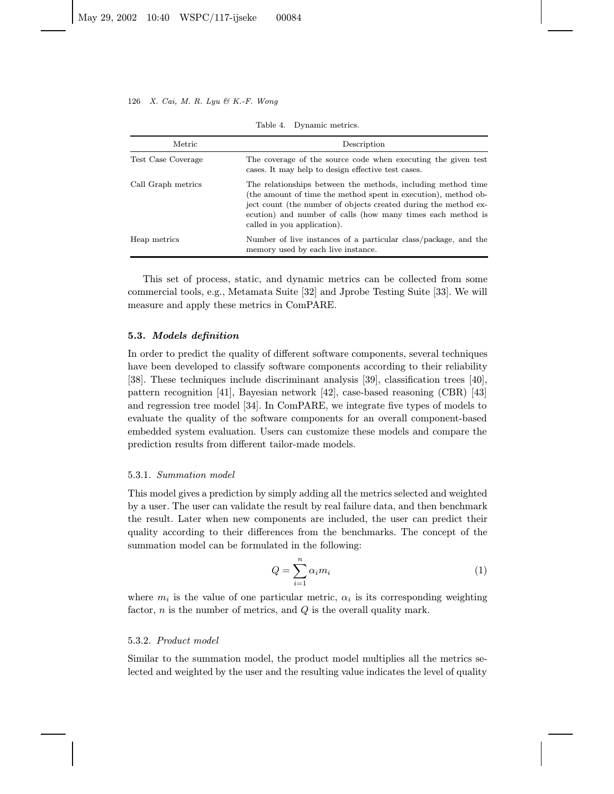| Metric             | Description                                                                                                                                                                                                                                                                                     |
|--------------------|-------------------------------------------------------------------------------------------------------------------------------------------------------------------------------------------------------------------------------------------------------------------------------------------------|
| Test Case Coverage | The coverage of the source code when executing the given test<br>cases. It may help to design effective test cases.                                                                                                                                                                             |
| Call Graph metrics | The relationships between the methods, including method time<br>(the amount of time the method spent in execution), method ob-<br>ject count (the number of objects created during the method ex-<br>ecution) and number of calls (how many times each method is<br>called in you application). |
| Heap metrics       | Number of live instances of a particular class/package, and the<br>memory used by each live instance.                                                                                                                                                                                           |

Table 4. Dynamic metrics.

This set of process, static, and dynamic metrics can be collected from some commercial tools, e.g., Metamata Suite [32] and Jprobe Testing Suite [33]. We will measure and apply these metrics in ComPARE.

#### 5.3. Models definition

In order to predict the quality of different software components, several techniques have been developed to classify software components according to their reliability [38]. These techniques include discriminant analysis [39], classification trees [40], pattern recognition [41], Bayesian network [42], case-based reasoning (CBR) [43] and regression tree model [34]. In ComPARE, we integrate five types of models to evaluate the quality of the software components for an overall component-based embedded system evaluation. Users can customize these models and compare the prediction results from different tailor-made models.

### 5.3.1. Summation model

This model gives a prediction by simply adding all the metrics selected and weighted by a user. The user can validate the result by real failure data, and then benchmark the result. Later when new components are included, the user can predict their quality according to their differences from the benchmarks. The concept of the summation model can be formulated in the following:

$$
Q = \sum_{i=1}^{n} \alpha_i m_i \tag{1}
$$

where  $m_i$  is the value of one particular metric,  $\alpha_i$  is its corresponding weighting factor,  $n$  is the number of metrics, and  $Q$  is the overall quality mark.

### 5.3.2. Product model

Similar to the summation model, the product model multiplies all the metrics selected and weighted by the user and the resulting value indicates the level of quality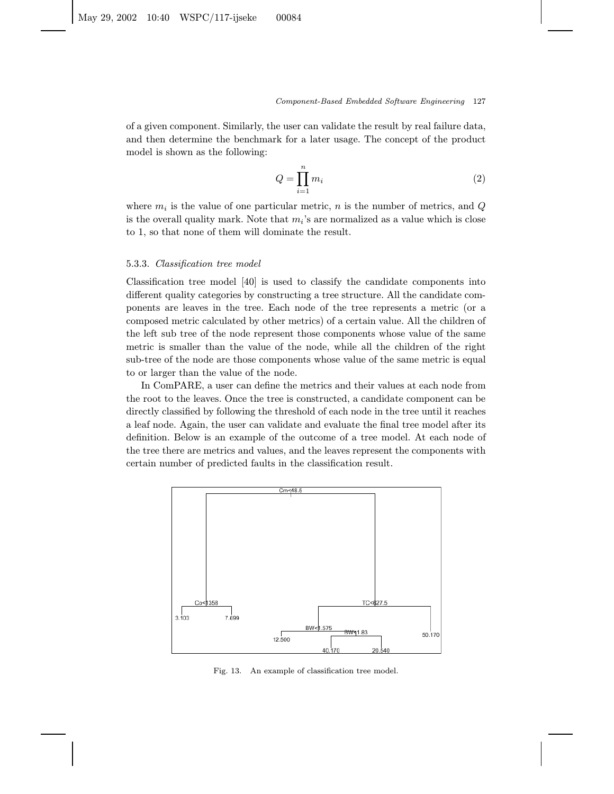of a given component. Similarly, the user can validate the result by real failure data, and then determine the benchmark for a later usage. The concept of the product model is shown as the following:

$$
Q = \prod_{i=1}^{n} m_i \tag{2}
$$

where  $m_i$  is the value of one particular metric, n is the number of metrics, and Q is the overall quality mark. Note that  $m_i$ 's are normalized as a value which is close to 1, so that none of them will dominate the result.

#### 5.3.3. Classification tree model

Classification tree model [40] is used to classify the candidate components into different quality categories by constructing a tree structure. All the candidate components are leaves in the tree. Each node of the tree represents a metric (or a composed metric calculated by other metrics) of a certain value. All the children of the left sub tree of the node represent those components whose value of the same metric is smaller than the value of the node, while all the children of the right sub-tree of the node are those components whose value of the same metric is equal to or larger than the value of the node.

In ComPARE, a user can define the metrics and their values at each node from the root to the leaves. Once the tree is constructed, a candidate component can be directly classified by following the threshold of each node in the tree until it reaches a leaf node. Again, the user can validate and evaluate the final tree model after its definition. Below is an example of the outcome of a tree model. At each node of the tree there are metrics and values, and the leaves represent the components with certain number of predicted faults in the classification result.



Fig. 13. An example of classification tree model.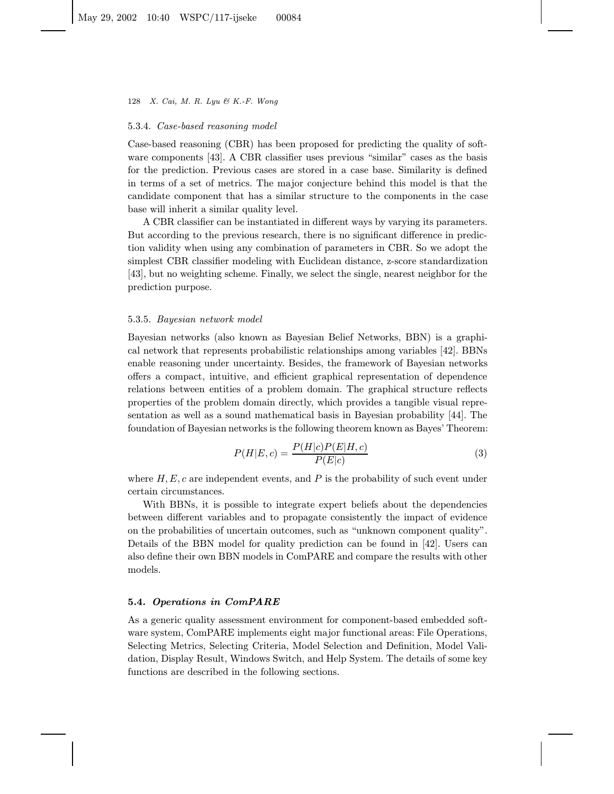#### 5.3.4. Case-based reasoning model

Case-based reasoning (CBR) has been proposed for predicting the quality of software components [43]. A CBR classifier uses previous "similar" cases as the basis for the prediction. Previous cases are stored in a case base. Similarity is defined in terms of a set of metrics. The major conjecture behind this model is that the candidate component that has a similar structure to the components in the case base will inherit a similar quality level.

A CBR classifier can be instantiated in different ways by varying its parameters. But according to the previous research, there is no significant difference in prediction validity when using any combination of parameters in CBR. So we adopt the simplest CBR classifier modeling with Euclidean distance, z-score standardization [43], but no weighting scheme. Finally, we select the single, nearest neighbor for the prediction purpose.

#### 5.3.5. Bayesian network model

Bayesian networks (also known as Bayesian Belief Networks, BBN) is a graphical network that represents probabilistic relationships among variables [42]. BBNs enable reasoning under uncertainty. Besides, the framework of Bayesian networks offers a compact, intuitive, and efficient graphical representation of dependence relations between entities of a problem domain. The graphical structure reflects properties of the problem domain directly, which provides a tangible visual representation as well as a sound mathematical basis in Bayesian probability [44]. The foundation of Bayesian networks is the following theorem known as Bayes' Theorem:

$$
P(H|E,c) = \frac{P(H|c)P(E|H,c)}{P(E|c)}
$$
\n(3)

where  $H, E, c$  are independent events, and P is the probability of such event under certain circumstances.

With BBNs, it is possible to integrate expert beliefs about the dependencies between different variables and to propagate consistently the impact of evidence on the probabilities of uncertain outcomes, such as "unknown component quality". Details of the BBN model for quality prediction can be found in [42]. Users can also define their own BBN models in ComPARE and compare the results with other models.

#### 5.4. Operations in ComPARE

As a generic quality assessment environment for component-based embedded software system, ComPARE implements eight major functional areas: File Operations, Selecting Metrics, Selecting Criteria, Model Selection and Definition, Model Validation, Display Result, Windows Switch, and Help System. The details of some key functions are described in the following sections.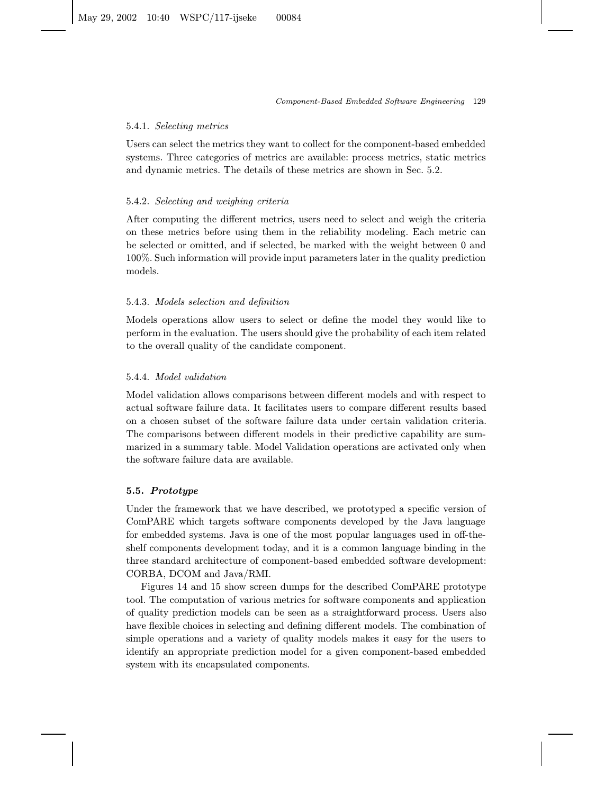## 5.4.1. Selecting metrics

Users can select the metrics they want to collect for the component-based embedded systems. Three categories of metrics are available: process metrics, static metrics and dynamic metrics. The details of these metrics are shown in Sec. 5.2.

## 5.4.2. Selecting and weighing criteria

After computing the different metrics, users need to select and weigh the criteria on these metrics before using them in the reliability modeling. Each metric can be selected or omitted, and if selected, be marked with the weight between 0 and 100%. Such information will provide input parameters later in the quality prediction models.

## 5.4.3. Models selection and definition

Models operations allow users to select or define the model they would like to perform in the evaluation. The users should give the probability of each item related to the overall quality of the candidate component.

## 5.4.4. Model validation

Model validation allows comparisons between different models and with respect to actual software failure data. It facilitates users to compare different results based on a chosen subset of the software failure data under certain validation criteria. The comparisons between different models in their predictive capability are summarized in a summary table. Model Validation operations are activated only when the software failure data are available.

## 5.5. Prototype

Under the framework that we have described, we prototyped a specific version of ComPARE which targets software components developed by the Java language for embedded systems. Java is one of the most popular languages used in off-theshelf components development today, and it is a common language binding in the three standard architecture of component-based embedded software development: CORBA, DCOM and Java/RMI.

Figures 14 and 15 show screen dumps for the described ComPARE prototype tool. The computation of various metrics for software components and application of quality prediction models can be seen as a straightforward process. Users also have flexible choices in selecting and defining different models. The combination of simple operations and a variety of quality models makes it easy for the users to identify an appropriate prediction model for a given component-based embedded system with its encapsulated components.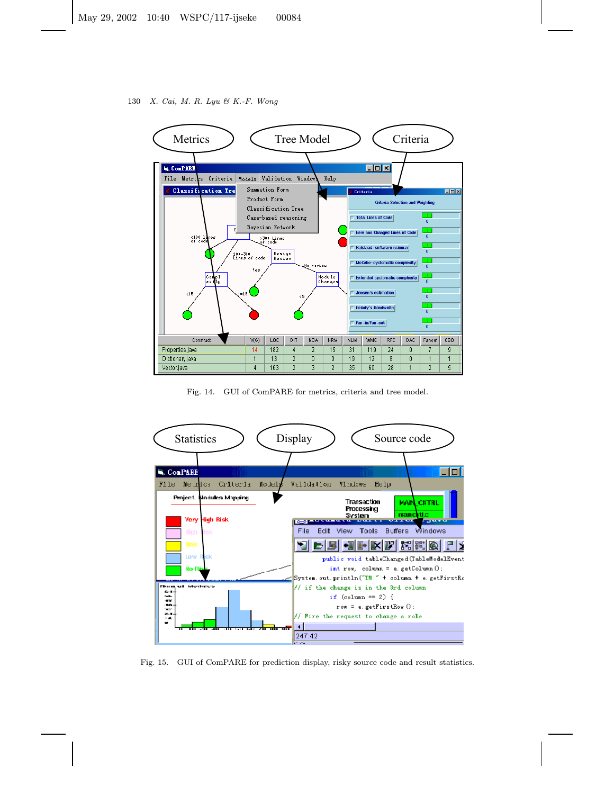

Fig. 14. GUI of ComPARE for metrics, criteria and tree model.



Fig. 15. GUI of ComPARE for prediction display, risky source code and result statistics.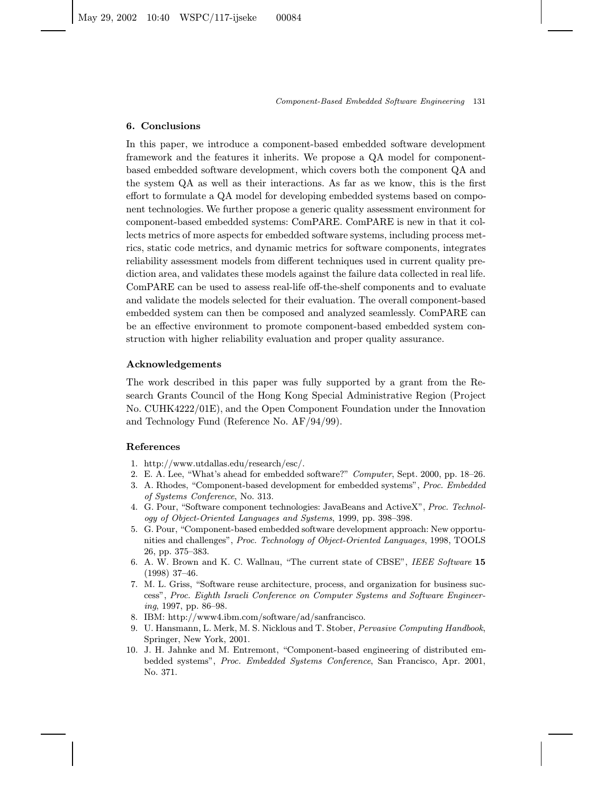## 6. Conclusions

In this paper, we introduce a component-based embedded software development framework and the features it inherits. We propose a QA model for componentbased embedded software development, which covers both the component QA and the system QA as well as their interactions. As far as we know, this is the first effort to formulate a QA model for developing embedded systems based on component technologies. We further propose a generic quality assessment environment for component-based embedded systems: ComPARE. ComPARE is new in that it collects metrics of more aspects for embedded software systems, including process metrics, static code metrics, and dynamic metrics for software components, integrates reliability assessment models from different techniques used in current quality prediction area, and validates these models against the failure data collected in real life. ComPARE can be used to assess real-life off-the-shelf components and to evaluate and validate the models selected for their evaluation. The overall component-based embedded system can then be composed and analyzed seamlessly. ComPARE can be an effective environment to promote component-based embedded system construction with higher reliability evaluation and proper quality assurance.

## Acknowledgements

The work described in this paper was fully supported by a grant from the Research Grants Council of the Hong Kong Special Administrative Region (Project No. CUHK4222/01E), and the Open Component Foundation under the Innovation and Technology Fund (Reference No. AF/94/99).

## References

- 1. http://www.utdallas.edu/research/esc/.
- 2. E. A. Lee, "What's ahead for embedded software?" Computer, Sept. 2000, pp. 18–26.
- 3. A. Rhodes, "Component-based development for embedded systems", Proc. Embedded of Systems Conference, No. 313.
- 4. G. Pour, "Software component technologies: JavaBeans and ActiveX", Proc. Technology of Object-Oriented Languages and Systems, 1999, pp. 398–398.
- 5. G. Pour, "Component-based embedded software development approach: New opportunities and challenges", Proc. Technology of Object-Oriented Languages, 1998, TOOLS 26, pp. 375–383.
- 6. A. W. Brown and K. C. Wallnau, "The current state of CBSE", IEEE Software 15 (1998) 37–46.
- 7. M. L. Griss, "Software reuse architecture, process, and organization for business success", Proc. Eighth Israeli Conference on Computer Systems and Software Engineering, 1997, pp. 86–98.
- 8. IBM: http://www4.ibm.com/software/ad/sanfrancisco.
- 9. U. Hansmann, L. Merk, M. S. Nicklous and T. Stober, Pervasive Computing Handbook, Springer, New York, 2001.
- 10. J. H. Jahnke and M. Entremont, "Component-based engineering of distributed embedded systems", Proc. Embedded Systems Conference, San Francisco, Apr. 2001, No. 371.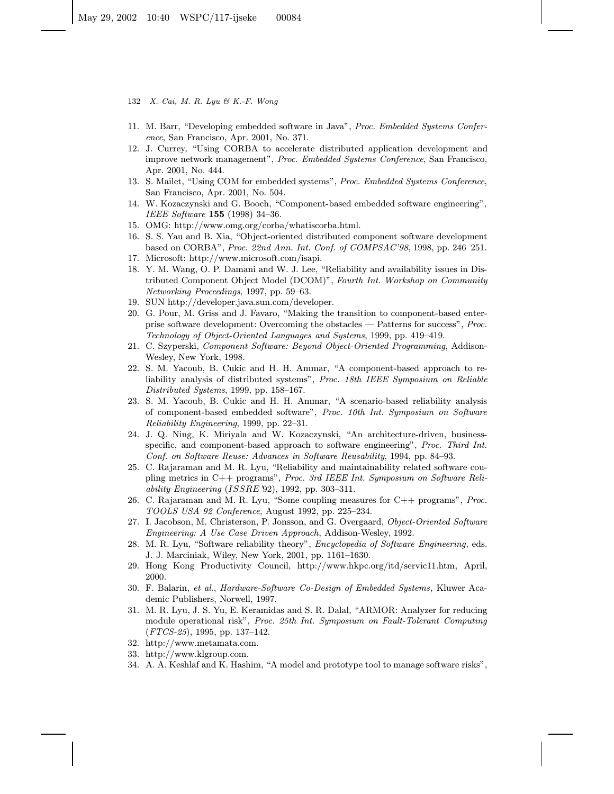- 132 X. Cai, M. R. Lyu & K.-F. Wong
- 11. M. Barr, "Developing embedded software in Java", Proc. Embedded Systems Conference, San Francisco, Apr. 2001, No. 371.
- 12. J. Currey, "Using CORBA to accelerate distributed application development and improve network management", Proc. Embedded Systems Conference, San Francisco, Apr. 2001, No. 444.
- 13. S. Mailet, "Using COM for embedded systems", Proc. Embedded Systems Conference, San Francisco, Apr. 2001, No. 504.
- 14. W. Kozaczynski and G. Booch, "Component-based embedded software engineering", IEEE Software 155 (1998) 34–36.
- 15. OMG: http://www.omg.org/corba/whatiscorba.html.
- 16. S. S. Yau and B. Xia, "Object-oriented distributed component software development based on CORBA", Proc. 22nd Ann. Int. Conf. of COMPSAC'98, 1998, pp. 246–251.
- 17. Microsoft: http://www.microsoft.com/isapi.
- 18. Y. M. Wang, O. P. Damani and W. J. Lee, "Reliability and availability issues in Distributed Component Object Model (DCOM)", Fourth Int. Workshop on Community Networking Proceedings, 1997, pp. 59–63.
- 19. SUN http://developer.java.sun.com/developer.
- 20. G. Pour, M. Griss and J. Favaro, "Making the transition to component-based enterprise software development: Overcoming the obstacles — Patterns for success", Proc. Technology of Object-Oriented Languages and Systems, 1999, pp. 419–419.
- 21. C. Szyperski, Component Software: Beyond Object-Oriented Programming, Addison-Wesley, New York, 1998.
- 22. S. M. Yacoub, B. Cukic and H. H. Ammar, "A component-based approach to reliability analysis of distributed systems", Proc. 18th IEEE Symposium on Reliable Distributed Systems, 1999, pp. 158–167.
- 23. S. M. Yacoub, B. Cukic and H. H. Ammar, "A scenario-based reliability analysis of component-based embedded software", Proc. 10th Int. Symposium on Software Reliability Engineering, 1999, pp. 22–31.
- 24. J. Q. Ning, K. Miriyala and W. Kozaczynski, "An architecture-driven, businessspecific, and component-based approach to software engineering", *Proc. Third Int.* Conf. on Software Reuse: Advances in Software Reusability, 1994, pp. 84–93.
- 25. C. Rajaraman and M. R. Lyu, "Reliability and maintainability related software coupling metrics in C++ programs", Proc. 3rd IEEE Int. Symposium on Software Reliability Engineering (ISSRE'92), 1992, pp. 303–311.
- 26. C. Rajaraman and M. R. Lyu, "Some coupling measures for C++ programs", Proc. TOOLS USA 92 Conference, August 1992, pp. 225–234.
- 27. I. Jacobson, M. Christerson, P. Jonsson, and G. Overgaard, Object-Oriented Software Engineering: A Use Case Driven Approach, Addison-Wesley, 1992.
- 28. M. R. Lyu, "Software reliability theory", Encyclopedia of Software Engineering, eds. J. J. Marciniak, Wiley, New York, 2001, pp. 1161–1630.
- 29. Hong Kong Productivity Council, http://www.hkpc.org/itd/servic11.htm, April, 2000.
- 30. F. Balarin, et al., Hardware-Software Co-Design of Embedded Systems, Kluwer Academic Publishers, Norwell, 1997.
- 31. M. R. Lyu, J. S. Yu, E. Keramidas and S. R. Dalal, "ARMOR: Analyzer for reducing module operational risk", Proc. 25th Int. Symposium on Fault-Tolerant Computing (FTCS-25), 1995, pp. 137–142.
- 32. http://www.metamata.com.
- 33. http://www.klgroup.com.
- 34. A. A. Keshlaf and K. Hashim, "A model and prototype tool to manage software risks",